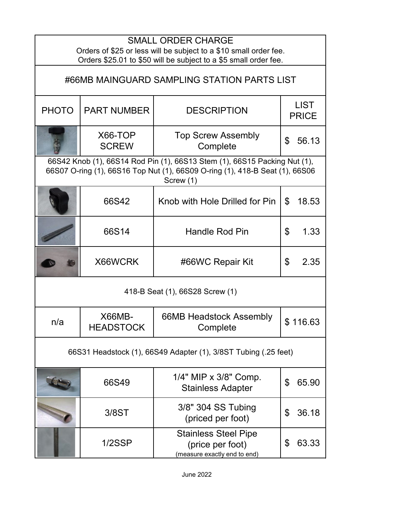| <b>SMALL ORDER CHARGE</b><br>Orders of \$25 or less will be subject to a \$10 small order fee.                                                                         |                                   |                                                                                 |                             |  |  |
|------------------------------------------------------------------------------------------------------------------------------------------------------------------------|-----------------------------------|---------------------------------------------------------------------------------|-----------------------------|--|--|
| Orders \$25.01 to \$50 will be subject to a \$5 small order fee.                                                                                                       |                                   |                                                                                 |                             |  |  |
| #66MB MAINGUARD SAMPLING STATION PARTS LIST                                                                                                                            |                                   |                                                                                 |                             |  |  |
| <b>PHOTO</b>                                                                                                                                                           | <b>PART NUMBER</b>                | <b>DESCRIPTION</b>                                                              | <b>LIST</b><br><b>PRICE</b> |  |  |
|                                                                                                                                                                        | X66-TOP<br><b>SCREW</b>           | <b>Top Screw Assembly</b><br>Complete                                           | \$<br>56.13                 |  |  |
| 66S42 Knob (1), 66S14 Rod Pin (1), 66S13 Stem (1), 66S15 Packing Nut (1),<br>66S07 O-ring (1), 66S16 Top Nut (1), 66S09 O-ring (1), 418-B Seat (1), 66S06<br>Screw (1) |                                   |                                                                                 |                             |  |  |
|                                                                                                                                                                        | 66S42                             | Knob with Hole Drilled for Pin                                                  | \$<br>18.53                 |  |  |
|                                                                                                                                                                        | 66S14                             | <b>Handle Rod Pin</b>                                                           | \$<br>1.33                  |  |  |
|                                                                                                                                                                        | X66WCRK                           | #66WC Repair Kit                                                                | \$<br>2.35                  |  |  |
| 418-B Seat (1), 66S28 Screw (1)                                                                                                                                        |                                   |                                                                                 |                             |  |  |
| n/a                                                                                                                                                                    | <b>X66MB-</b><br><b>HEADSTOCK</b> | 66MB Headstock Assembly<br>Complete                                             | \$116.63                    |  |  |
| 66S31 Headstock (1), 66S49 Adapter (1), 3/8ST Tubing (.25 feet)                                                                                                        |                                   |                                                                                 |                             |  |  |
|                                                                                                                                                                        | 66S49                             | 1/4" MIP x 3/8" Comp.<br><b>Stainless Adapter</b>                               | \$<br>65.90                 |  |  |
|                                                                                                                                                                        | 3/8ST                             | 3/8" 304 SS Tubing<br>(priced per foot)                                         | \$<br>36.18                 |  |  |
|                                                                                                                                                                        | 1/2SSP                            | <b>Stainless Steel Pipe</b><br>(price per foot)<br>(measure exactly end to end) | \$<br>63.33                 |  |  |